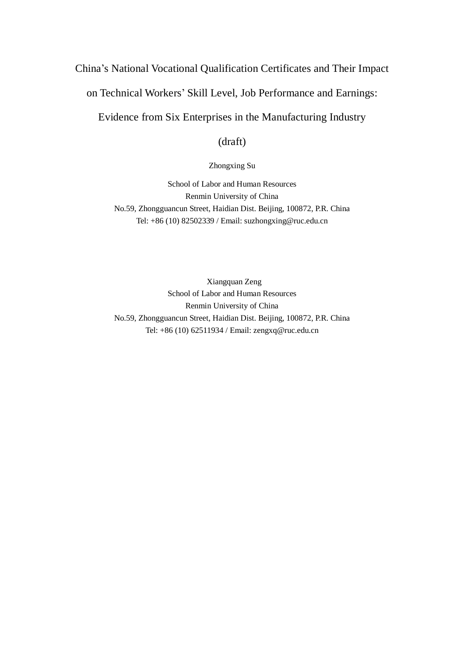# China's National Vocational Qualification Certificates and Their Impact on Technical Workers' Skill Level, Job Performance and Earnings:

Evidence from Six Enterprises in the Manufacturing Industry

(draft)

### Zhongxing Su

School of Labor and Human Resources Renmin University of China No.59, Zhongguancun Street, Haidian Dist. Beijing, 100872, P.R. China Tel: +86 (10) 82502339 / Email: suzhongxing@ruc.edu.cn

Xiangquan Zeng School of Labor and Human Resources Renmin University of China No.59, Zhongguancun Street, Haidian Dist. Beijing, 100872, P.R. China Tel: +86 (10) 62511934 / Email: zengxq@ruc.edu.cn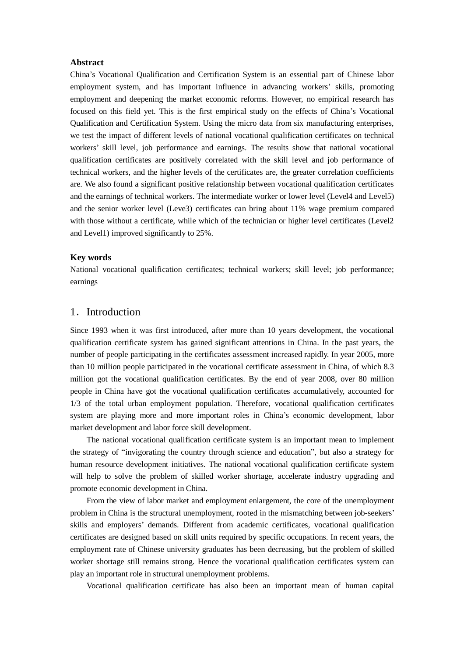#### **Abstract**

China's Vocational Qualification and Certification System is an essential part of Chinese labor employment system, and has important influence in advancing workers' skills, promoting employment and deepening the market economic reforms. However, no empirical research has focused on this field yet. This is the first empirical study on the effects of China's Vocational Qualification and Certification System. Using the micro data from six manufacturing enterprises, we test the impact of different levels of national vocational qualification certificates on technical workers' skill level, job performance and earnings. The results show that national vocational qualification certificates are positively correlated with the skill level and job performance of technical workers, and the higher levels of the certificates are, the greater correlation coefficients are. We also found a significant positive relationship between vocational qualification certificates and the earnings of technical workers. The intermediate worker or lower level (Level4 and Level5) and the senior worker level (Leve3) certificates can bring about 11% wage premium compared with those without a certificate, while which of the technician or higher level certificates (Level2 and Level1) improved significantly to 25%.

#### **Key words**

National vocational qualification certificates; technical workers; skill level; job performance; earnings

# 1. Introduction

Since 1993 when it was first introduced, after more than 10 years development, the vocational qualification certificate system has gained significant attentions in China. In the past years, the number of people participating in the certificates assessment increased rapidly. In year 2005, more than 10 million people participated in the vocational certificate assessment in China, of which 8.3 million got the vocational qualification certificates. By the end of year 2008, over 80 million people in China have got the vocational qualification certificates accumulatively, accounted for 1/3 of the total urban employment population. Therefore, vocational qualification certificates system are playing more and more important roles in China's economic development, labor market development and labor force skill development.

The national vocational qualification certificate system is an important mean to implement the strategy of "invigorating the country through science and education", but also a strategy for human resource development initiatives. The national vocational qualification certificate system will help to solve the problem of skilled worker shortage, accelerate industry upgrading and promote economic development in China.

From the view of labor market and employment enlargement, the core of the unemployment problem in China is the structural unemployment, rooted in the mismatching between job-seekers' skills and employers' demands. Different from academic certificates, vocational qualification certificates are designed based on skill units required by specific occupations. In recent years, the employment rate of Chinese university graduates has been decreasing, but the problem of skilled worker shortage still remains strong. Hence the vocational qualification certificates system can play an important role in structural unemployment problems.

Vocational qualification certificate has also been an important mean of human capital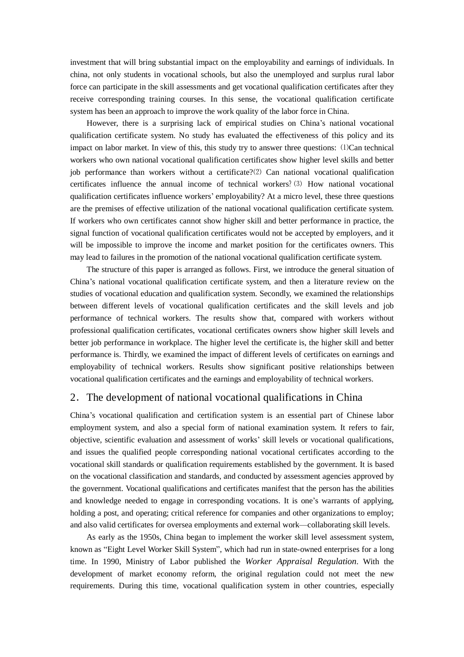investment that will bring substantial impact on the employability and earnings of individuals. In china, not only students in vocational schools, but also the unemployed and surplus rural labor force can participate in the skill assessments and get vocational qualification certificates after they receive corresponding training courses. In this sense, the vocational qualification certificate system has been an approach to improve the work quality of the labor force in China.

However, there is a surprising lack of empirical studies on China's national vocational qualification certificate system. No study has evaluated the effectiveness of this policy and its impact on labor market. In view of this, this study try to answer three questions: ⑴Can technical workers who own national vocational qualification certificates show higher level skills and better job performance than workers without a certificate?⑵ Can national vocational qualification certificates influence the annual income of technical workers?⑶ How national vocational qualification certificates influence workers' employability? At a micro level, these three questions are the premises of effective utilization of the national vocational qualification certificate system. If workers who own certificates cannot show higher skill and better performance in practice, the signal function of vocational qualification certificates would not be accepted by employers, and it will be impossible to improve the income and market position for the certificates owners. This may lead to failures in the promotion of the national vocational qualification certificate system.

The structure of this paper is arranged as follows. First, we introduce the general situation of China's national vocational qualification certificate system, and then a literature review on the studies of vocational education and qualification system. Secondly, we examined the relationships between different levels of vocational qualification certificates and the skill levels and job performance of technical workers. The results show that, compared with workers without professional qualification certificates, vocational certificates owners show higher skill levels and better job performance in workplace. The higher level the certificate is, the higher skill and better performance is. Thirdly, we examined the impact of different levels of certificates on earnings and employability of technical workers. Results show significant positive relationships between vocational qualification certificates and the earnings and employability of technical workers.

# 2.The development of national vocational qualifications in China

China's vocational qualification and certification system is an essential part of Chinese labor employment system, and also a special form of national examination system. It refers to fair, objective, scientific evaluation and assessment of works' skill levels or vocational qualifications, and issues the qualified people corresponding national vocational certificates according to the vocational skill standards or qualification requirements established by the government. It is based on the vocational classification and standards, and conducted by assessment agencies approved by the government. Vocational qualifications and certificates manifest that the person has the abilities and knowledge needed to engage in corresponding vocations. It is one's warrants of applying, holding a post, and operating; critical reference for companies and other organizations to employ; and also valid certificates for oversea employments and external work—collaborating skill levels.

As early as the 1950s, China began to implement the worker skill level assessment system, known as "Eight Level Worker Skill System", which had run in state-owned enterprises for a long time. In 1990, Ministry of Labor published the *Worker Appraisal Regulation*. With the development of market economy reform, the original regulation could not meet the new requirements. During this time, vocational qualification system in other countries, especially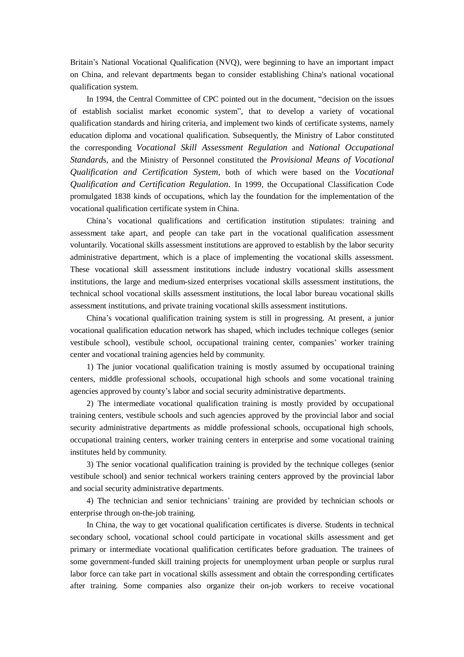Britain's National Vocational Qualification (NVQ), were beginning to have an important impact on China, and relevant departments began to consider establishing China's national vocational qualification system.

In 1994, the Central Committee of CPC pointed out in the document, "decision on the issues of establish socialist market economic system", that to develop a variety of vocational qualification standards and hiring criteria, and implement two kinds of certificate systems, namely education diploma and vocational qualification. Subsequently, the Ministry of Labor constituted the corresponding *Vocational Skill Assessment Regulation* and *National Occupational Standard*s, and the Ministry of Personnel constituted the *Provisional Means of Vocational Qualification and Certification System*, both of which were based on the *Vocational Qualification and Certification Regulation*. In 1999, the Occupational Classification Code promulgated 1838 kinds of occupations, which lay the foundation for the implementation of the vocational qualification certificate system in China.

China's vocational qualifications and certification institution stipulates: training and assessment take apart, and people can take part in the vocational qualification assessment voluntarily. Vocational skills assessment institutions are approved to establish by the labor security administrative department, which is a place of implementing the vocational skills assessment. These vocational skill assessment institutions include industry vocational skills assessment institutions, the large and medium-sized enterprises vocational skills assessment institutions, the technical school vocational skills assessment institutions, the local labor bureau vocational skills assessment institutions, and private training vocational skills assessment institutions.

China's vocational qualification training system is still in progressing. At present, a junior vocational qualification education network has shaped, which includes technique colleges (senior vestibule school), vestibule school, occupational training center, companies' worker training center and vocational training agencies held by community.

1) The junior vocational qualification training is mostly assumed by occupational training centers, middle professional schools, occupational high schools and some vocational training agencies approved by county's labor and social security administrative departments.

2) The intermediate vocational qualification training is mostly provided by occupational training centers, vestibule schools and such agencies approved by the provincial labor and social security administrative departments as middle professional schools, occupational high schools, occupational training centers, worker training centers in enterprise and some vocational training institutes held by community.

3) The senior vocational qualification training is provided by the technique colleges (senior vestibule school) and senior technical workers training centers approved by the provincial labor and social security administrative departments.

4) The technician and senior technicians' training are provided by technician schools or enterprise through on-the-job training.

In China, the way to get vocational qualification certificates is diverse. Students in technical secondary school, vocational school could participate in vocational skills assessment and get primary or intermediate vocational qualification certificates before graduation. The trainees of some government-funded skill training projects for unemployment urban people or surplus rural labor force can take part in vocational skills assessment and obtain the corresponding certificates after training. Some companies also organize their on-job workers to receive vocational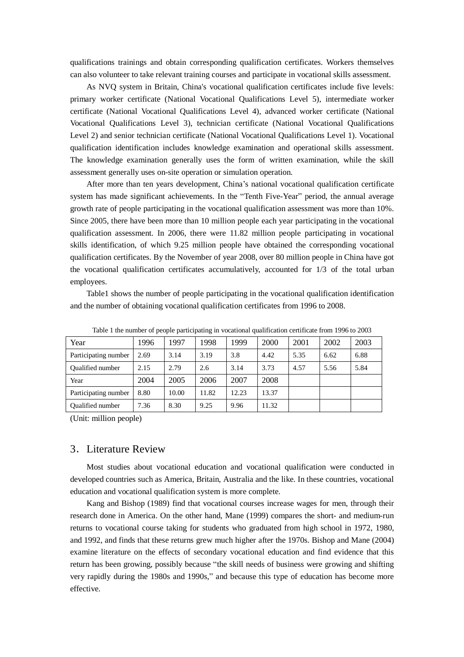qualifications trainings and obtain corresponding qualification certificates. Workers themselves can also volunteer to take relevant training courses and participate in vocational skills assessment.

As NVQ system in Britain, China's vocational qualification certificates include five levels: primary worker certificate (National Vocational Qualifications Level 5), intermediate worker certificate (National Vocational Qualifications Level 4), advanced worker certificate (National Vocational Qualifications Level 3), technician certificate (National Vocational Qualifications Level 2) and senior technician certificate (National Vocational Qualifications Level 1). Vocational qualification identification includes knowledge examination and operational skills assessment. The knowledge examination generally uses the form of written examination, while the skill assessment generally uses on-site operation or simulation operation.

After more than ten years development, China's national vocational qualification certificate system has made significant achievements. In the "Tenth Five-Year" period, the annual average growth rate of people participating in the vocational qualification assessment was more than 10%. Since 2005, there have been more than 10 million people each year participating in the vocational qualification assessment. In 2006, there were 11.82 million people participating in vocational skills identification, of which 9.25 million people have obtained the corresponding vocational qualification certificates. By the November of year 2008, over 80 million people in China have got the vocational qualification certificates accumulatively, accounted for 1/3 of the total urban employees.

Table1 shows the number of people participating in the vocational qualification identification and the number of obtaining vocational qualification certificates from 1996 to 2008.

| Year                    | 1996 | 1997  | 1998  | 1999  | 2000  | 2001 | 2002 | 2003 |
|-------------------------|------|-------|-------|-------|-------|------|------|------|
| Participating number    | 2.69 | 3.14  | 3.19  | 3.8   | 4.42  | 5.35 | 6.62 | 6.88 |
| <b>Oualified number</b> | 2.15 | 2.79  | 2.6   | 3.14  | 3.73  | 4.57 | 5.56 | 5.84 |
| Year                    | 2004 | 2005  | 2006  | 2007  | 2008  |      |      |      |
| Participating number    | 8.80 | 10.00 | 11.82 | 12.23 | 13.37 |      |      |      |
| <b>Oualified number</b> | 7.36 | 8.30  | 9.25  | 9.96  | 11.32 |      |      |      |

Table 1 the number of people participating in vocational qualification certificate from 1996 to 2003

(Unit: million people)

## 3.Literature Review

Most studies about vocational education and vocational qualification were conducted in developed countries such as America, Britain, Australia and the like. In these countries, vocational education and vocational qualification system is more complete.

Kang and Bishop (1989) find that vocational courses increase wages for men, through their research done in America. On the other hand, Mane (1999) compares the short- and medium-run returns to vocational course taking for students who graduated from high school in 1972, 1980, and 1992, and finds that these returns grew much higher after the 1970s. Bishop and Mane (2004) examine literature on the effects of secondary vocational education and find evidence that this return has been growing, possibly because "the skill needs of business were growing and shifting very rapidly during the 1980s and 1990s," and because this type of education has become more effective.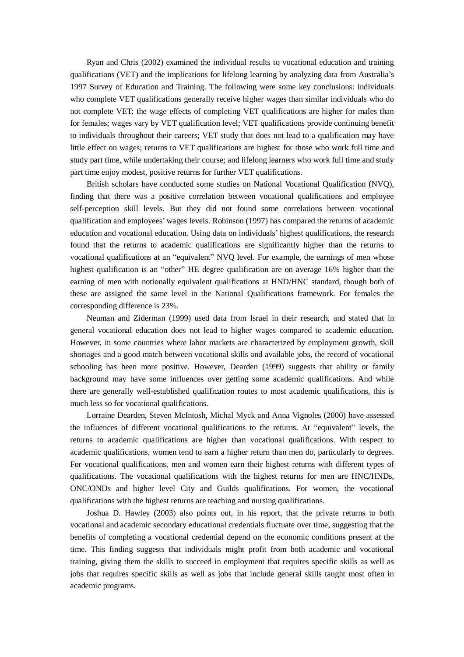Ryan and Chris (2002) examined the individual results to vocational education and training qualifications (VET) and the implications for lifelong learning by analyzing data from Australia's 1997 Survey of Education and Training. The following were some key conclusions: individuals who complete VET qualifications generally receive higher wages than similar individuals who do not complete VET; the wage effects of completing VET qualifications are higher for males than for females; wages vary by VET qualification level; VET qualifications provide continuing benefit to individuals throughout their careers; VET study that does not lead to a qualification may have little effect on wages; returns to VET qualifications are highest for those who work full time and study part time, while undertaking their course; and lifelong learners who work full time and study part time enjoy modest, positive returns for further VET qualifications.

British scholars have conducted some studies on National Vocational Qualification (NVQ), finding that there was a positive correlation between vocational qualifications and employee self-perception skill levels. But they did not found some correlations between vocational qualification and employees' wages levels. Robinson (1997) has compared the returns of academic education and vocational education. Using data on individuals' highest qualifications, the research found that the returns to academic qualifications are significantly higher than the returns to vocational qualifications at an "equivalent" NVQ level. For example, the earnings of men whose highest qualification is an "other" HE degree qualification are on average 16% higher than the earning of men with notionally equivalent qualifications at HND/HNC standard, though both of these are assigned the same level in the National Qualifications framework. For females the corresponding difference is 23%.

Neuman and Ziderman (1999) used data from Israel in their research, and stated that in general vocational education does not lead to higher wages compared to academic education. However, in some countries where labor markets are characterized by employment growth, skill shortages and a good match between vocational skills and available jobs, the record of vocational schooling has been more positive. However, Dearden (1999) suggests that ability or family background may have some influences over getting some academic qualifications. And while there are generally well-established qualification routes to most academic qualifications, this is much less so for vocational qualifications.

Lorraine Dearden, Steven McIntosh, Michal Myck and Anna Vignoles (2000) have assessed the influences of different vocational qualifications to the returns. At "equivalent" levels, the returns to academic qualifications are higher than vocational qualifications. With respect to academic qualifications, women tend to earn a higher return than men do, particularly to degrees. For vocational qualifications, men and women earn their highest returns with different types of qualifications. The vocational qualifications with the highest returns for men are HNC/HNDs, ONC/ONDs and higher level City and Guilds qualifications. For women, the vocational qualifications with the highest returns are teaching and nursing qualifications.

Joshua D. Hawley (2003) also points out, in his report, that the private returns to both vocational and academic secondary educational credentials fluctuate over time, suggesting that the benefits of completing a vocational credential depend on the economic conditions present at the time. This finding suggests that individuals might profit from both academic and vocational training, giving them the skills to succeed in employment that requires specific skills as well as jobs that requires specific skills as well as jobs that include general skills taught most often in academic programs.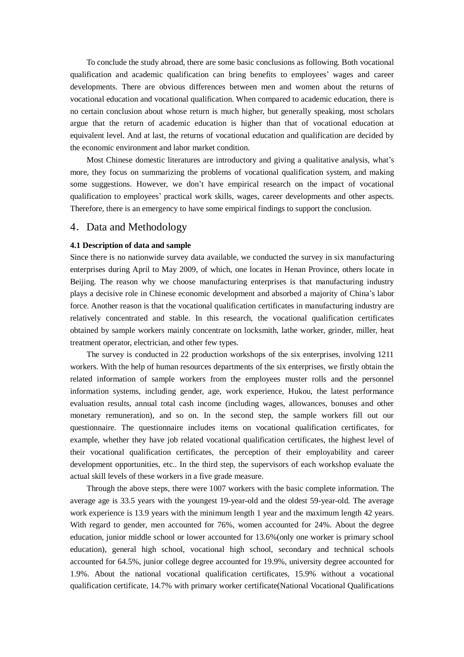To conclude the study abroad, there are some basic conclusions as following. Both vocational qualification and academic qualification can bring benefits to employees' wages and career developments. There are obvious differences between men and women about the returns of vocational education and vocational qualification. When compared to academic education, there is no certain conclusion about whose return is much higher, but generally speaking, most scholars argue that the return of academic education is higher than that of vocational education at equivalent level. And at last, the returns of vocational education and qualification are decided by the economic environment and labor market condition.

Most Chinese domestic literatures are introductory and giving a qualitative analysis, what's more, they focus on summarizing the problems of vocational qualification system, and making some suggestions. However, we don't have empirical research on the impact of vocational qualification to employees' practical work skills, wages, career developments and other aspects. Therefore, there is an emergency to have some empirical findings to support the conclusion.

#### 4.Data and Methodology

#### **4.1 Description of data and sample**

Since there is no nationwide survey data available, we conducted the survey in six manufacturing enterprises during April to May 2009, of which, one locates in Henan Province, others locate in Beijing. The reason why we choose manufacturing enterprises is that manufacturing industry plays a decisive role in Chinese economic development and absorbed a majority of China's labor force. Another reason is that the vocational qualification certificates in manufacturing industry are relatively concentrated and stable. In this research, the vocational qualification certificates obtained by sample workers mainly concentrate on locksmith, lathe worker, grinder, miller, heat treatment operator, electrician, and other few types.

The survey is conducted in 22 production workshops of the six enterprises, involving 1211 workers. With the help of human resources departments of the six enterprises, we firstly obtain the related information of sample workers from the employees muster rolls and the personnel information systems, including gender, age, work experience, Hukou, the latest performance evaluation results, annual total cash income (including wages, allowances, bonuses and other monetary remuneration), and so on. In the second step, the sample workers fill out our questionnaire. The questionnaire includes items on vocational qualification certificates, for example, whether they have job related vocational qualification certificates, the highest level of their vocational qualification certificates, the perception of their employability and career development opportunities, etc.. In the third step, the supervisors of each workshop evaluate the actual skill levels of these workers in a five grade measure.

Through the above steps, there were 1007 workers with the basic complete information. The average age is 33.5 years with the youngest 19-year-old and the oldest 59-year-old. The average work experience is 13.9 years with the minimum length 1 year and the maximum length 42 years. With regard to gender, men accounted for 76%, women accounted for 24%. About the degree education, junior middle school or lower accounted for 13.6%(only one worker is primary school education), general high school, vocational high school, secondary and technical schools accounted for 64.5%, junior college degree accounted for 19.9%, university degree accounted for 1.9%. About the national vocational qualification certificates, 15.9% without a vocational qualification certificate, 14.7% with primary worker certificate(National Vocational Qualifications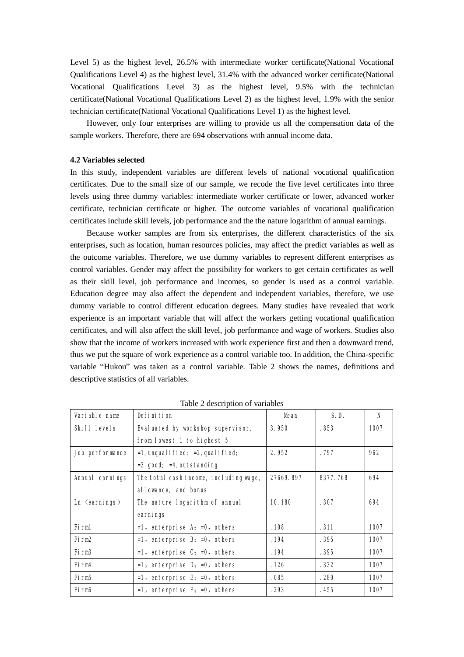Level 5) as the highest level, 26.5% with intermediate worker certificate(National Vocational Qualifications Level 4) as the highest level, 31.4% with the advanced worker certificate(National Vocational Qualifications Level 3) as the highest level, 9.5% with the technician certificate(National Vocational Qualifications Level 2) as the highest level, 1.9% with the senior technician certificate(National Vocational Qualifications Level 1) as the highest level.

However, only four enterprises are willing to provide us all the compensation data of the sample workers. Therefore, there are 694 observations with annual income data.

#### **4.2 Variables selected**

In this study, independent variables are different levels of national vocational qualification certificates. Due to the small size of our sample, we recode the five level certificates into three levels using three dummy variables: intermediate worker certificate or lower, advanced worker certificate, technician certificate or higher. The outcome variables of vocational qualification certificates include skill levels, job performance and the the nature logarithm of annual earnings.

Because worker samples are from six enterprises, the different characteristics of the six enterprises, such as location, human resources policies, may affect the predict variables as well as the outcome variables. Therefore, we use dummy variables to represent different enterprises as control variables. Gender may affect the possibility for workers to get certain certificates as well as their skill level, job performance and incomes, so gender is used as a control variable. Education degree may also affect the dependent and independent variables, therefore, we use dummy variable to control different education degrees. Many studies have revealed that work experience is an important variable that will affect the workers getting vocational qualification certificates, and will also affect the skill level, job performance and wage of workers. Studies also show that the income of workers increased with work experience first and then a downward trend, thus we put the square of work experience as a control variable too. In addition, the China-specific variable "Hukou" was taken as a control variable. Table 2 shows the names, definitions and descriptive statistics of all variables.

| Variable name     | <b>Definition</b>                         | <b>Mean</b> | S.D.     | N    |
|-------------------|-------------------------------------------|-------------|----------|------|
| Skill levels      | Evaluated by workshop supervisor,         | 3.950       | .853     | 1007 |
|                   | from lowest 1 to highest 5                |             |          |      |
| Job performance   | $=$ 1, unqual if ied; $=$ 2, qual if ied; | 2.952       | . 797    | 962  |
|                   | $= 3$ , good; $= 4$ , outstanding         |             |          |      |
| Annual earnings   | The total cash income, including wage,    | 27669.897   | 8377.768 | 694  |
|                   | allowance, and bonus                      |             |          |      |
| $Ln$ (earnings)   | The nature logarithm of annual            | 10.180      | .307     | 694  |
|                   | earnings                                  |             |          |      |
| <b>Firm1</b>      | $=1$ , enterprise A; $=0$ , others        | .108        | .311     | 1007 |
| Firm <sub>2</sub> | $=1$ , enterprise B; $=0$ , others        | . 194       | .395     | 1007 |
| Firm <sub>3</sub> | $=1$ , enterprise $C_i = 0$ , others      | . 194       | . 395    | 1007 |
| Firm4             | $=1$ , enterprise D; $=0$ , others        | . 126       | .332     | 1007 |
| <b>Firm5</b>      | $=1$ , enterprise E; $=0$ , others        | .085        | .280     | 1007 |
| Firm6             | $=1$ , enterprise $F1 = 0$ , others       | .293        | . 455    | 1007 |

Table 2 description of variables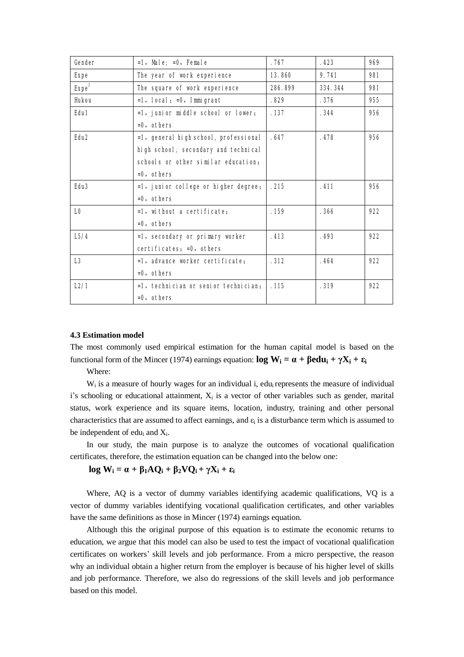| Gender            | $=1$ , Male; $=0$ , Female              | .767    | .423    | 969 |
|-------------------|-----------------------------------------|---------|---------|-----|
| <b>Expe</b>       | The year of work experience             | 13.860  | 9.741   | 981 |
| Expe <sup>2</sup> | The square of work experience           | 286.899 | 334.344 | 981 |
| <b>Hukou</b>      | $=1$ , local; $=0$ , 1mmigrant          | .829    | .376    | 955 |
| Edu1              | =1, junior middle school or lower;      | .137    | .344    | 956 |
|                   | $=0.$ others                            |         |         |     |
| Edu <sub>2</sub>  | =1, general high school, professional   | .647    | .478    | 956 |
|                   | high school, secondary and technical    |         |         |     |
|                   | schools or other similar education.     |         |         |     |
|                   | $=0.$ others                            |         |         |     |
| Edu <sub>3</sub>  | $=1$ , junior college or higher degree; | .215    | .411    | 956 |
|                   | $=0.$ others                            |         |         |     |
| L <sub>0</sub>    | $=1$ , without a certificate:           | .159    | .366    | 922 |
|                   | $=0.$ others                            |         |         |     |
| L5/4              | =1, secondary or primary worker         | .413    | .493    | 922 |
|                   | certificates: =0, others                |         |         |     |
| L <sub>3</sub>    | $=1$ , advance worker certificate:      | .312    | .464    | 922 |
|                   | $=0.$ others                            |         |         |     |
| L2/1              | $=1$ , technician or senior technician. | .115    | .319    | 922 |
|                   | $=0$ , others                           |         |         |     |

#### **4.3 Estimation model**

The most commonly used empirical estimation for the human capital model is based on the functional form of the Mincer (1974) earnings equation:  $\log W_i = \alpha + \beta \epsilon \, du_i + \gamma X_i + \epsilon_i$ 

Where:

W<sub>i</sub> is a measure of hourly wages for an individual i, edu<sub>i</sub> represents the measure of individual i's schooling or educational attainment,  $X_i$  is a vector of other variables such as gender, marital status, work experience and its square items, location, industry, training and other personal characteristics that are assumed to affect earnings, and  $\varepsilon_i$  is a disturbance term which is assumed to be independent of edu<sub>i</sub> and  $X_i$ .

In our study, the main purpose is to analyze the outcomes of vocational qualification certificates, therefore, the estimation equation can be changed into the below one:

## $log W_i = \alpha + \beta_1 A Q_i + \beta_2 V Q_i + \gamma X_i + \epsilon_i$

Where, AQ is a vector of dummy variables identifying academic qualifications, VQ is a vector of dummy variables identifying vocational qualification certificates, and other variables have the same definitions as those in Mincer (1974) earnings equation.

Although this the original purpose of this equation is to estimate the economic returns to education, we argue that this model can also be used to test the impact of vocational qualification certificates on workers' skill levels and job performance. From a micro perspective, the reason why an individual obtain a higher return from the employer is because of his higher level of skills and job performance. Therefore, we also do regressions of the skill levels and job performance based on this model.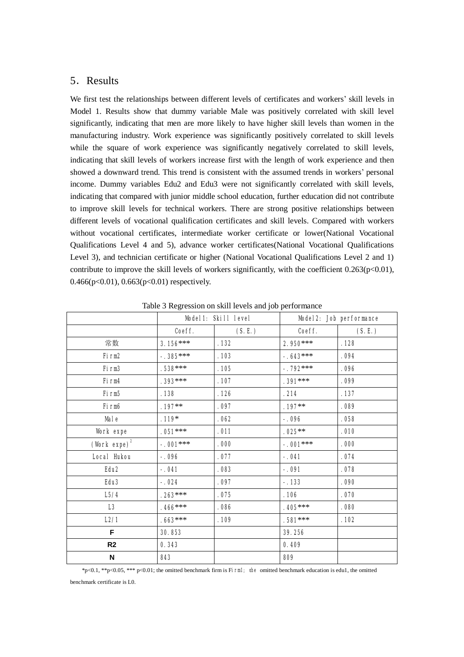# 5.Results

We first test the relationships between different levels of certificates and workers' skill levels in Model 1. Results show that dummy variable Male was positively correlated with skill level significantly, indicating that men are more likely to have higher skill levels than women in the manufacturing industry. Work experience was significantly positively correlated to skill levels while the square of work experience was significantly negatively correlated to skill levels, indicating that skill levels of workers increase first with the length of work experience and then showed a downward trend. This trend is consistent with the assumed trends in workers' personal income. Dummy variables Edu2 and Edu3 were not significantly correlated with skill levels, indicating that compared with junior middle school education, further education did not contribute to improve skill levels for technical workers. There are strong positive relationships between different levels of vocational qualification certificates and skill levels. Compared with workers without vocational certificates, intermediate worker certificate or lower(National Vocational Qualifications Level 4 and 5), advance worker certificates(National Vocational Qualifications Level 3), and technician certificate or higher (National Vocational Qualifications Level 2 and 1) contribute to improve the skill levels of workers significantly, with the coefficient  $0.263(p<0.01)$ , 0.466(p<0.01), 0.663(p<0.01) respectively.

|                             |            | Model1: Skill level | Model2: Job performance |        |  |
|-----------------------------|------------|---------------------|-------------------------|--------|--|
|                             | Coeff.     | (S.E.)              | Coeff.                  | (S.E.) |  |
| 常数                          | $3.156***$ | .132                | $2.950***$              | .128   |  |
| Firm <sub>2</sub>           | $-.385***$ | .103                | $-.643***$              | .094   |  |
| Firm <sub>3</sub>           | $.538***$  | .105                | $-.792***$              | .096   |  |
| Firm4                       | $.393***$  | .107                | $.391***$               | .099   |  |
| Firm <sub>5</sub>           | . 138      | . 126               | .214                    | .137   |  |
| Firm6                       | $.197**$   | .097                | $.197**$                | .089   |  |
| <b>Male</b>                 | $.119*$    | .062                | $-.096$                 | .058   |  |
| Work expe                   | $.051***$  | .011                | $.025***$               | .010   |  |
| (Work $expe$ ) <sup>2</sup> | $-.001***$ | .000                | $-.001***$              | .000   |  |
| <b>Local Hukou</b>          | $-.096$    | .077                | $-.041$                 | .074   |  |
| Edu <sub>2</sub>            | $-.041$    | .083                | $-.091$                 | .078   |  |
| Edu <sub>3</sub>            | $-.024$    | .097                | $-.133$                 | .090   |  |
| L5/4                        | $.263***$  | .075                | .106                    | .070   |  |
| L3                          | $.466***$  | .086                | $.405***$               | .080   |  |
| L2/1                        | $.663***$  | .109                | $.581***$               | .102   |  |
| F                           | 30.853     |                     | 39.256                  |        |  |
| R <sub>2</sub>              | 0.343      |                     | 0.409                   |        |  |
| N                           | 843        |                     | 809                     |        |  |

Table 3 Regression on skill levels and job performance

\*p<0.1, \*\*p<0.05, \*\*\* p<0.01; the omitted benchmark firm is Firm1; the omitted benchmark education is edu1, the omitted

benchmark certificate is L0.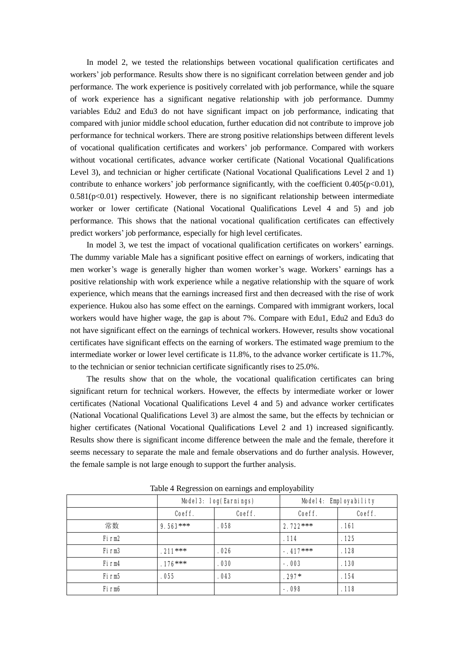In model 2, we tested the relationships between vocational qualification certificates and workers' job performance. Results show there is no significant correlation between gender and job performance. The work experience is positively correlated with job performance, while the square of work experience has a significant negative relationship with job performance. Dummy variables Edu2 and Edu3 do not have significant impact on job performance, indicating that compared with junior middle school education, further education did not contribute to improve job performance for technical workers. There are strong positive relationships between different levels of vocational qualification certificates and workers' job performance. Compared with workers without vocational certificates, advance worker certificate (National Vocational Qualifications Level 3), and technician or higher certificate (National Vocational Qualifications Level 2 and 1) contribute to enhance workers' job performance significantly, with the coefficient  $0.405(p<0.01)$ ,  $0.581(p<0.01)$  respectively. However, there is no significant relationship between intermediate worker or lower certificate (National Vocational Qualifications Level 4 and 5) and job performance. This shows that the national vocational qualification certificates can effectively predict workers' job performance, especially for high level certificates.

In model 3, we test the impact of vocational qualification certificates on workers' earnings. The dummy variable Male has a significant positive effect on earnings of workers, indicating that men worker's wage is generally higher than women worker's wage. Workers' earnings has a positive relationship with work experience while a negative relationship with the square of work experience, which means that the earnings increased first and then decreased with the rise of work experience. Hukou also has some effect on the earnings. Compared with immigrant workers, local workers would have higher wage, the gap is about 7%. Compare with Edu1, Edu2 and Edu3 do not have significant effect on the earnings of technical workers. However, results show vocational certificates have significant effects on the earning of workers. The estimated wage premium to the intermediate worker or lower level certificate is 11.8%, to the advance worker certificate is 11.7%, to the technician or senior technician certificate significantly rises to 25.0%.

The results show that on the whole, the vocational qualification certificates can bring significant return for technical workers. However, the effects by intermediate worker or lower certificates (National Vocational Qualifications Level 4 and 5) and advance worker certificates (National Vocational Qualifications Level 3) are almost the same, but the effects by technician or higher certificates (National Vocational Qualifications Level 2 and 1) increased significantly. Results show there is significant income difference between the male and the female, therefore it seems necessary to separate the male and female observations and do further analysis. However, the female sample is not large enough to support the further analysis.

|                   | Model3: log(Earnings) |        | Model4: Employability |        |  |
|-------------------|-----------------------|--------|-----------------------|--------|--|
|                   | Coeff.                | Coeff. | Coeff.                | Coeff. |  |
| 常数                | $9.563***$            | . 058  | $2.722***$            | .161   |  |
| Firm <sub>2</sub> |                       |        | .114                  | .125   |  |
| Firm <sub>3</sub> | $.211***$             | .026   | $-.417***$            | .128   |  |
| <b>Firm4</b>      | $.176***$             | .030   | $-.003$               | .130   |  |
| Firm5             | .055                  | .043   | $.297*$               | . 154  |  |
| Firm6             |                       |        | $-.098$               | .118   |  |

Table 4 Regression on earnings and employability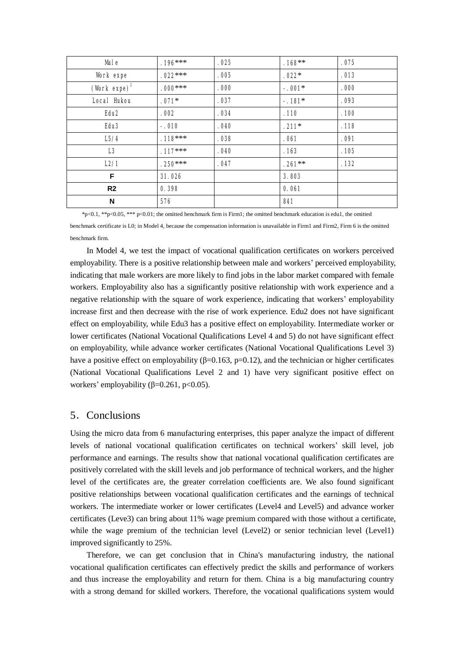| <b>Male</b>                 | $.196***$ | .025 | $.168***$ | .075 |
|-----------------------------|-----------|------|-----------|------|
| Work expe                   | $.022***$ | .005 | $.022*$   | .013 |
| (Work $\exp$ ) <sup>2</sup> | $.000***$ | .000 | $-.001*$  | .000 |
| <b>Local Hukou</b>          | $.071*$   | .037 | $-.181*$  | .093 |
| Edu <sub>2</sub>            | .002      | .034 | .110      | .100 |
| Edu <sub>3</sub>            | $-.010$   | .040 | $.211*$   | .118 |
| L5/4                        | $.118***$ | .038 | .061      | .091 |
| L3                          | $.117***$ | .040 | .163      | .105 |
| L2/1                        | $.250***$ | .047 | $.261***$ | .132 |
| F                           | 31.026    |      | 3.803     |      |
| R <sub>2</sub>              | 0.398     |      | 0.061     |      |
| N                           | 576       |      | 841       |      |

benchmark certificate is L0; in Model 4, because the compensation information is unavailable in Firm1 and Firm2, Firm 6 is the omitted benchmark firm.

 $*p<0.1$ ,  $**p<0.05$ ,  $***$  p<0.01; the omitted benchmark firm is Firm1; the omitted benchmark education is edu1, the omitted

In Model 4, we test the impact of vocational qualification certificates on workers perceived employability. There is a positive relationship between male and workers' perceived employability, indicating that male workers are more likely to find jobs in the labor market compared with female workers. Employability also has a significantly positive relationship with work experience and a negative relationship with the square of work experience, indicating that workers' employability increase first and then decrease with the rise of work experience. Edu2 does not have significant effect on employability, while Edu3 has a positive effect on employability. Intermediate worker or lower certificates (National Vocational Qualifications Level 4 and 5) do not have significant effect on employability, while advance worker certificates (National Vocational Qualifications Level 3) have a positive effect on employability ( $\beta$ =0.163, p=0.12), and the technician or higher certificates (National Vocational Qualifications Level 2 and 1) have very significant positive effect on workers' employability ( $\beta$ =0.261, p<0.05).

# 5.Conclusions

Using the micro data from 6 manufacturing enterprises, this paper analyze the impact of different levels of national vocational qualification certificates on technical workers' skill level, job performance and earnings. The results show that national vocational qualification certificates are positively correlated with the skill levels and job performance of technical workers, and the higher level of the certificates are, the greater correlation coefficients are. We also found significant positive relationships between vocational qualification certificates and the earnings of technical workers. The intermediate worker or lower certificates (Level4 and Level5) and advance worker certificates (Leve3) can bring about 11% wage premium compared with those without a certificate, while the wage premium of the technician level (Level2) or senior technician level (Level1) improved significantly to 25%.

Therefore, we can get conclusion that in China's manufacturing industry, the national vocational qualification certificates can effectively predict the skills and performance of workers and thus increase the employability and return for them. China is a big manufacturing country with a strong demand for skilled workers. Therefore, the vocational qualifications system would